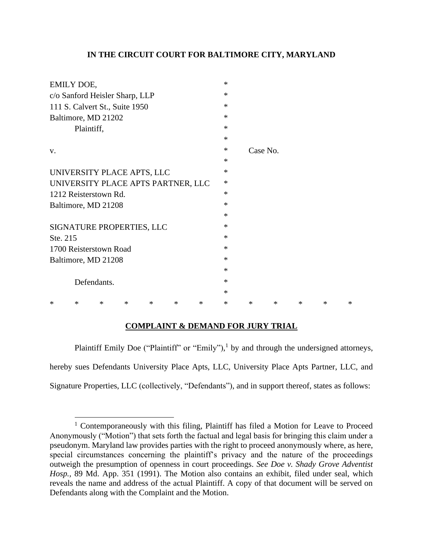# **IN THE CIRCUIT COURT FOR BALTIMORE CITY, MARYLAND**

| $\ast$ |        |        |          |   |        |
|--------|--------|--------|----------|---|--------|
| $\ast$ |        |        |          |   |        |
| ∗      |        |        |          |   |        |
| ∗      |        |        |          |   |        |
| ∗      |        |        |          |   |        |
| ∗      |        |        |          |   |        |
| ∗      |        |        |          |   |        |
| ∗      |        |        |          |   |        |
| $\ast$ |        |        |          |   |        |
| $\ast$ |        |        |          |   |        |
| $\ast$ |        |        |          |   |        |
| $\ast$ |        |        |          |   |        |
| ∗      |        |        |          |   |        |
| $\ast$ |        |        |          |   |        |
| ∗      |        |        |          |   |        |
| $\ast$ |        |        |          |   |        |
| $\ast$ |        |        |          |   |        |
| $\ast$ |        |        |          |   |        |
| ∗      |        |        |          |   |        |
| $\ast$ |        |        |          |   |        |
| $\ast$ | $\ast$ | $\ast$ | $\ast$   | ∗ | $\ast$ |
|        |        |        | Case No. |   |        |

# **COMPLAINT & DEMAND FOR JURY TRIAL**

Plaintiff Emily Doe ("Plaintiff" or "Emily"),<sup>1</sup> by and through the undersigned attorneys, hereby sues Defendants University Place Apts, LLC, University Place Apts Partner, LLC, and Signature Properties, LLC (collectively, "Defendants"), and in support thereof, states as follows:

<sup>&</sup>lt;sup>1</sup> Contemporaneously with this filing, Plaintiff has filed a Motion for Leave to Proceed Anonymously ("Motion") that sets forth the factual and legal basis for bringing this claim under a pseudonym. Maryland law provides parties with the right to proceed anonymously where, as here, special circumstances concerning the plaintiff's privacy and the nature of the proceedings outweigh the presumption of openness in court proceedings. *See Doe v. Shady Grove Adventist Hosp.,* 89 Md. App. 351 (1991). The Motion also contains an exhibit, filed under seal, which reveals the name and address of the actual Plaintiff. A copy of that document will be served on Defendants along with the Complaint and the Motion.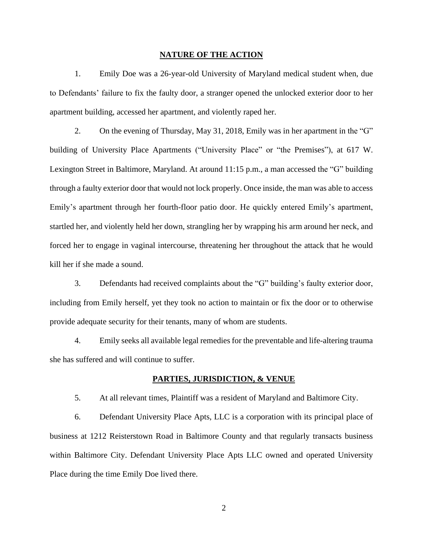### **NATURE OF THE ACTION**

1. Emily Doe was a 26-year-old University of Maryland medical student when, due to Defendants' failure to fix the faulty door, a stranger opened the unlocked exterior door to her apartment building, accessed her apartment, and violently raped her.

2. On the evening of Thursday, May 31, 2018, Emily was in her apartment in the "G" building of University Place Apartments ("University Place" or "the Premises"), at 617 W. Lexington Street in Baltimore, Maryland. At around 11:15 p.m., a man accessed the "G" building through a faulty exterior door that would not lock properly. Once inside, the man was able to access Emily's apartment through her fourth-floor patio door. He quickly entered Emily's apartment, startled her, and violently held her down, strangling her by wrapping his arm around her neck, and forced her to engage in vaginal intercourse, threatening her throughout the attack that he would kill her if she made a sound.

3. Defendants had received complaints about the "G" building's faulty exterior door, including from Emily herself, yet they took no action to maintain or fix the door or to otherwise provide adequate security for their tenants, many of whom are students.

4. Emily seeks all available legal remedies for the preventable and life-altering trauma she has suffered and will continue to suffer.

### **PARTIES, JURISDICTION, & VENUE**

5. At all relevant times, Plaintiff was a resident of Maryland and Baltimore City.

6. Defendant University Place Apts, LLC is a corporation with its principal place of business at 1212 Reisterstown Road in Baltimore County and that regularly transacts business within Baltimore City. Defendant University Place Apts LLC owned and operated University Place during the time Emily Doe lived there.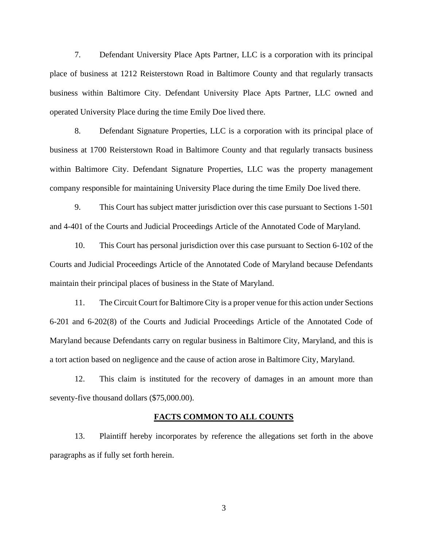7. Defendant University Place Apts Partner, LLC is a corporation with its principal place of business at 1212 Reisterstown Road in Baltimore County and that regularly transacts business within Baltimore City. Defendant University Place Apts Partner, LLC owned and operated University Place during the time Emily Doe lived there.

8. Defendant Signature Properties, LLC is a corporation with its principal place of business at 1700 Reisterstown Road in Baltimore County and that regularly transacts business within Baltimore City. Defendant Signature Properties, LLC was the property management company responsible for maintaining University Place during the time Emily Doe lived there.

9. This Court has subject matter jurisdiction over this case pursuant to Sections 1-501 and 4-401 of the Courts and Judicial Proceedings Article of the Annotated Code of Maryland.

10. This Court has personal jurisdiction over this case pursuant to Section 6-102 of the Courts and Judicial Proceedings Article of the Annotated Code of Maryland because Defendants maintain their principal places of business in the State of Maryland.

11. The Circuit Court for Baltimore City is a proper venue for this action under Sections 6-201 and 6-202(8) of the Courts and Judicial Proceedings Article of the Annotated Code of Maryland because Defendants carry on regular business in Baltimore City, Maryland, and this is a tort action based on negligence and the cause of action arose in Baltimore City, Maryland.

12. This claim is instituted for the recovery of damages in an amount more than seventy-five thousand dollars (\$75,000.00).

#### **FACTS COMMON TO ALL COUNTS**

13. Plaintiff hereby incorporates by reference the allegations set forth in the above paragraphs as if fully set forth herein.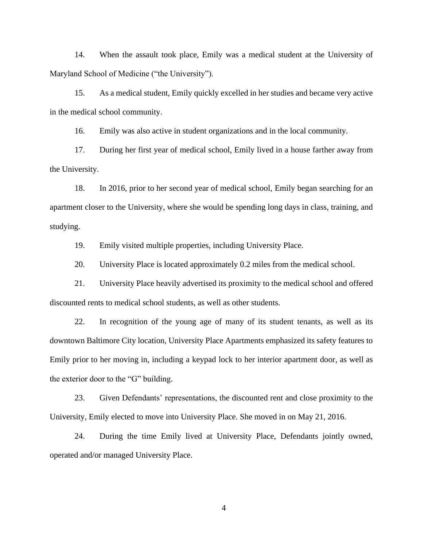14. When the assault took place, Emily was a medical student at the University of Maryland School of Medicine ("the University").

15. As a medical student, Emily quickly excelled in her studies and became very active in the medical school community.

16. Emily was also active in student organizations and in the local community.

17. During her first year of medical school, Emily lived in a house farther away from the University.

18. In 2016, prior to her second year of medical school, Emily began searching for an apartment closer to the University, where she would be spending long days in class, training, and studying.

19. Emily visited multiple properties, including University Place.

20. University Place is located approximately 0.2 miles from the medical school.

21. University Place heavily advertised its proximity to the medical school and offered discounted rents to medical school students, as well as other students.

22. In recognition of the young age of many of its student tenants, as well as its downtown Baltimore City location, University Place Apartments emphasized its safety features to Emily prior to her moving in, including a keypad lock to her interior apartment door, as well as the exterior door to the "G" building.

23. Given Defendants' representations, the discounted rent and close proximity to the University, Emily elected to move into University Place. She moved in on May 21, 2016.

24. During the time Emily lived at University Place, Defendants jointly owned, operated and/or managed University Place.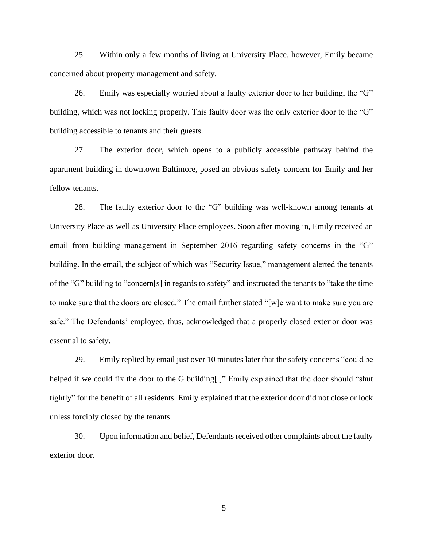25. Within only a few months of living at University Place, however, Emily became concerned about property management and safety.

26. Emily was especially worried about a faulty exterior door to her building, the "G" building, which was not locking properly. This faulty door was the only exterior door to the "G" building accessible to tenants and their guests.

27. The exterior door, which opens to a publicly accessible pathway behind the apartment building in downtown Baltimore, posed an obvious safety concern for Emily and her fellow tenants.

28. The faulty exterior door to the "G" building was well-known among tenants at University Place as well as University Place employees. Soon after moving in, Emily received an email from building management in September 2016 regarding safety concerns in the "G" building. In the email, the subject of which was "Security Issue," management alerted the tenants of the "G" building to "concern[s] in regards to safety" and instructed the tenants to "take the time to make sure that the doors are closed." The email further stated "[w]e want to make sure you are safe." The Defendants' employee, thus, acknowledged that a properly closed exterior door was essential to safety.

29. Emily replied by email just over 10 minutes later that the safety concerns "could be helped if we could fix the door to the G building[.]" Emily explained that the door should "shut tightly" for the benefit of all residents. Emily explained that the exterior door did not close or lock unless forcibly closed by the tenants.

30. Upon information and belief, Defendants received other complaints about the faulty exterior door.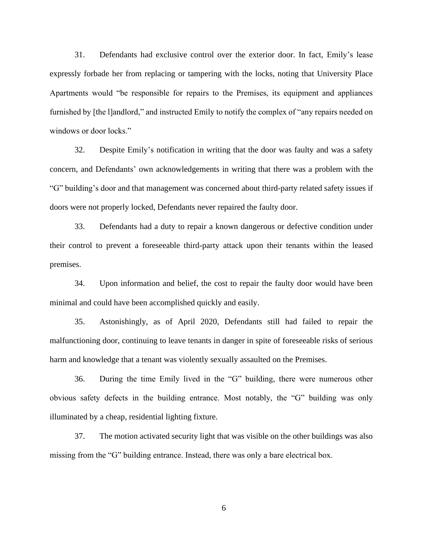31. Defendants had exclusive control over the exterior door. In fact, Emily's lease expressly forbade her from replacing or tampering with the locks, noting that University Place Apartments would "be responsible for repairs to the Premises, its equipment and appliances furnished by [the l]andlord," and instructed Emily to notify the complex of "any repairs needed on windows or door locks."

32. Despite Emily's notification in writing that the door was faulty and was a safety concern, and Defendants' own acknowledgements in writing that there was a problem with the "G" building's door and that management was concerned about third-party related safety issues if doors were not properly locked, Defendants never repaired the faulty door.

33. Defendants had a duty to repair a known dangerous or defective condition under their control to prevent a foreseeable third-party attack upon their tenants within the leased premises.

34. Upon information and belief, the cost to repair the faulty door would have been minimal and could have been accomplished quickly and easily.

35. Astonishingly, as of April 2020, Defendants still had failed to repair the malfunctioning door, continuing to leave tenants in danger in spite of foreseeable risks of serious harm and knowledge that a tenant was violently sexually assaulted on the Premises.

36. During the time Emily lived in the "G" building, there were numerous other obvious safety defects in the building entrance. Most notably, the "G" building was only illuminated by a cheap, residential lighting fixture.

37. The motion activated security light that was visible on the other buildings was also missing from the "G" building entrance. Instead, there was only a bare electrical box.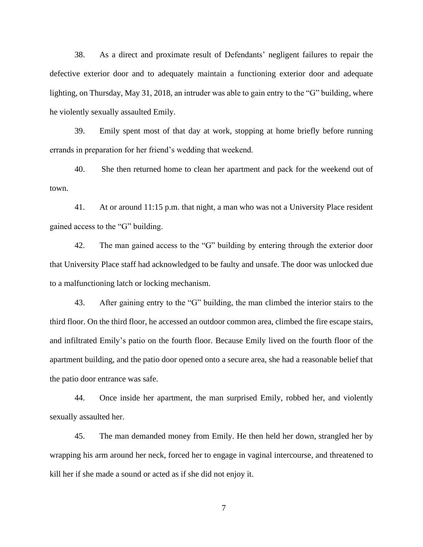38. As a direct and proximate result of Defendants' negligent failures to repair the defective exterior door and to adequately maintain a functioning exterior door and adequate lighting, on Thursday, May 31, 2018, an intruder was able to gain entry to the "G" building, where he violently sexually assaulted Emily.

39. Emily spent most of that day at work, stopping at home briefly before running errands in preparation for her friend's wedding that weekend.

40. She then returned home to clean her apartment and pack for the weekend out of town.

41. At or around 11:15 p.m. that night, a man who was not a University Place resident gained access to the "G" building.

42. The man gained access to the "G" building by entering through the exterior door that University Place staff had acknowledged to be faulty and unsafe. The door was unlocked due to a malfunctioning latch or locking mechanism.

43. After gaining entry to the "G" building, the man climbed the interior stairs to the third floor. On the third floor, he accessed an outdoor common area, climbed the fire escape stairs, and infiltrated Emily's patio on the fourth floor. Because Emily lived on the fourth floor of the apartment building, and the patio door opened onto a secure area, she had a reasonable belief that the patio door entrance was safe.

44. Once inside her apartment, the man surprised Emily, robbed her, and violently sexually assaulted her.

45. The man demanded money from Emily. He then held her down, strangled her by wrapping his arm around her neck, forced her to engage in vaginal intercourse, and threatened to kill her if she made a sound or acted as if she did not enjoy it.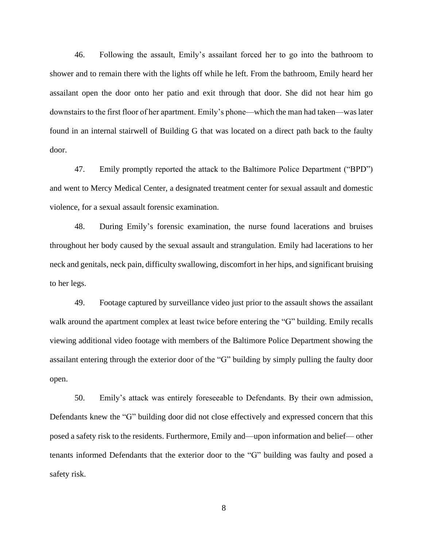46. Following the assault, Emily's assailant forced her to go into the bathroom to shower and to remain there with the lights off while he left. From the bathroom, Emily heard her assailant open the door onto her patio and exit through that door. She did not hear him go downstairs to the first floor of her apartment. Emily's phone—which the man had taken—was later found in an internal stairwell of Building G that was located on a direct path back to the faulty door.

47. Emily promptly reported the attack to the Baltimore Police Department ("BPD") and went to Mercy Medical Center, a designated treatment center for sexual assault and domestic violence, for a sexual assault forensic examination.

48. During Emily's forensic examination, the nurse found lacerations and bruises throughout her body caused by the sexual assault and strangulation. Emily had lacerations to her neck and genitals, neck pain, difficulty swallowing, discomfort in her hips, and significant bruising to her legs.

49. Footage captured by surveillance video just prior to the assault shows the assailant walk around the apartment complex at least twice before entering the "G" building. Emily recalls viewing additional video footage with members of the Baltimore Police Department showing the assailant entering through the exterior door of the "G" building by simply pulling the faulty door open.

50. Emily's attack was entirely foreseeable to Defendants. By their own admission, Defendants knew the "G" building door did not close effectively and expressed concern that this posed a safety risk to the residents. Furthermore, Emily and—upon information and belief— other tenants informed Defendants that the exterior door to the "G" building was faulty and posed a safety risk.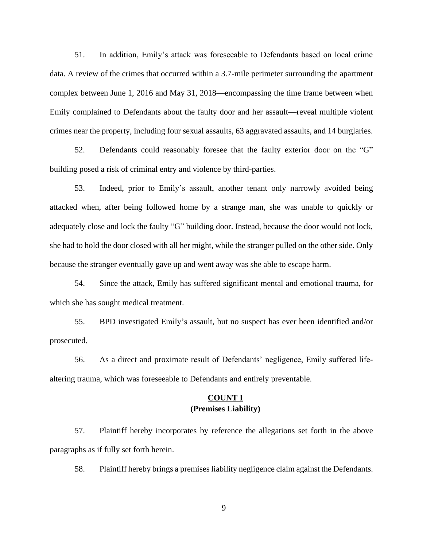51. In addition, Emily's attack was foreseeable to Defendants based on local crime data. A review of the crimes that occurred within a 3.7-mile perimeter surrounding the apartment complex between June 1, 2016 and May 31, 2018—encompassing the time frame between when Emily complained to Defendants about the faulty door and her assault—reveal multiple violent crimes near the property, including four sexual assaults, 63 aggravated assaults, and 14 burglaries.

52. Defendants could reasonably foresee that the faulty exterior door on the "G" building posed a risk of criminal entry and violence by third-parties.

53. Indeed, prior to Emily's assault, another tenant only narrowly avoided being attacked when, after being followed home by a strange man, she was unable to quickly or adequately close and lock the faulty "G" building door. Instead, because the door would not lock, she had to hold the door closed with all her might, while the stranger pulled on the other side. Only because the stranger eventually gave up and went away was she able to escape harm.

54. Since the attack, Emily has suffered significant mental and emotional trauma, for which she has sought medical treatment.

55. BPD investigated Emily's assault, but no suspect has ever been identified and/or prosecuted.

56. As a direct and proximate result of Defendants' negligence, Emily suffered lifealtering trauma, which was foreseeable to Defendants and entirely preventable.

# **COUNT I (Premises Liability)**

57. Plaintiff hereby incorporates by reference the allegations set forth in the above paragraphs as if fully set forth herein.

58. Plaintiff hereby brings a premises liability negligence claim against the Defendants.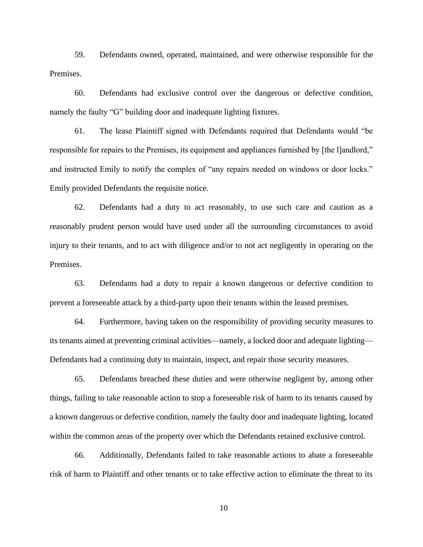59. Defendants owned, operated, maintained, and were otherwise responsible for the Premises.

60. Defendants had exclusive control over the dangerous or defective condition, namely the faulty "G" building door and inadequate lighting fixtures.

61. The lease Plaintiff signed with Defendants required that Defendants would "be responsible for repairs to the Premises, its equipment and appliances furnished by [the l]andlord," and instructed Emily to notify the complex of "any repairs needed on windows or door locks." Emily provided Defendants the requisite notice.

62. Defendants had a duty to act reasonably, to use such care and caution as a reasonably prudent person would have used under all the surrounding circumstances to avoid injury to their tenants, and to act with diligence and/or to not act negligently in operating on the Premises.

63. Defendants had a duty to repair a known dangerous or defective condition to prevent a foreseeable attack by a third-party upon their tenants within the leased premises.

64. Furthermore, having taken on the responsibility of providing security measures to its tenants aimed at preventing criminal activities—namely, a locked door and adequate lighting— Defendants had a continuing duty to maintain, inspect, and repair those security measures.

65. Defendants breached these duties and were otherwise negligent by, among other things, failing to take reasonable action to stop a foreseeable risk of harm to its tenants caused by a known dangerous or defective condition, namely the faulty door and inadequate lighting, located within the common areas of the property over which the Defendants retained exclusive control.

66. Additionally, Defendants failed to take reasonable actions to abate a foreseeable risk of harm to Plaintiff and other tenants or to take effective action to eliminate the threat to its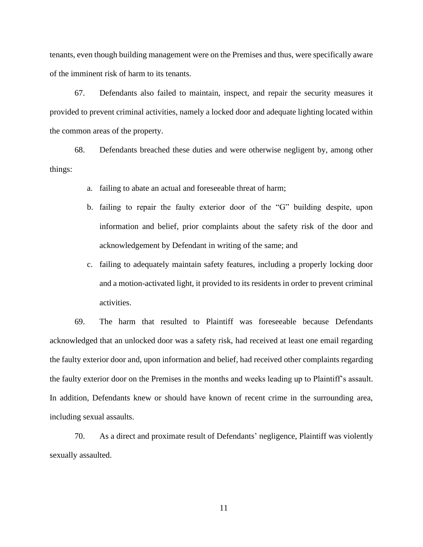tenants, even though building management were on the Premises and thus, were specifically aware of the imminent risk of harm to its tenants.

67. Defendants also failed to maintain, inspect, and repair the security measures it provided to prevent criminal activities, namely a locked door and adequate lighting located within the common areas of the property.

68. Defendants breached these duties and were otherwise negligent by, among other things:

- a. failing to abate an actual and foreseeable threat of harm;
- b. failing to repair the faulty exterior door of the "G" building despite, upon information and belief, prior complaints about the safety risk of the door and acknowledgement by Defendant in writing of the same; and
- c. failing to adequately maintain safety features, including a properly locking door and a motion-activated light, it provided to its residents in order to prevent criminal activities.

69. The harm that resulted to Plaintiff was foreseeable because Defendants acknowledged that an unlocked door was a safety risk, had received at least one email regarding the faulty exterior door and, upon information and belief, had received other complaints regarding the faulty exterior door on the Premises in the months and weeks leading up to Plaintiff's assault. In addition, Defendants knew or should have known of recent crime in the surrounding area, including sexual assaults.

70. As a direct and proximate result of Defendants' negligence, Plaintiff was violently sexually assaulted.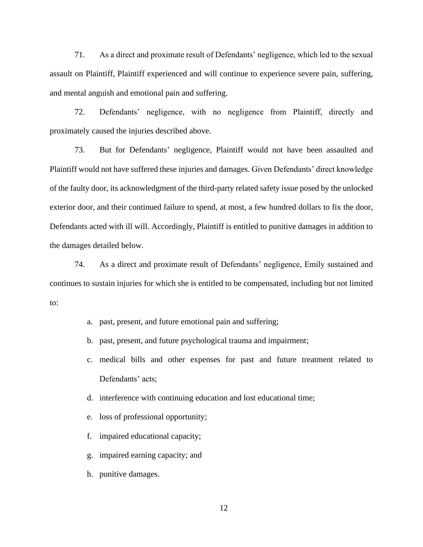71. As a direct and proximate result of Defendants' negligence, which led to the sexual assault on Plaintiff, Plaintiff experienced and will continue to experience severe pain, suffering, and mental anguish and emotional pain and suffering.

72. Defendants' negligence, with no negligence from Plaintiff, directly and proximately caused the injuries described above.

73. But for Defendants' negligence, Plaintiff would not have been assaulted and Plaintiff would not have suffered these injuries and damages. Given Defendants' direct knowledge of the faulty door, its acknowledgment of the third-party related safety issue posed by the unlocked exterior door, and their continued failure to spend, at most, a few hundred dollars to fix the door, Defendants acted with ill will. Accordingly, Plaintiff is entitled to punitive damages in addition to the damages detailed below.

74. As a direct and proximate result of Defendants' negligence, Emily sustained and continues to sustain injuries for which she is entitled to be compensated, including but not limited to:

- a. past, present, and future emotional pain and suffering;
- b. past, present, and future psychological trauma and impairment;
- c. medical bills and other expenses for past and future treatment related to Defendants' acts;
- d. interference with continuing education and lost educational time;
- e. loss of professional opportunity;
- f. impaired educational capacity;
- g. impaired earning capacity; and
- h. punitive damages.